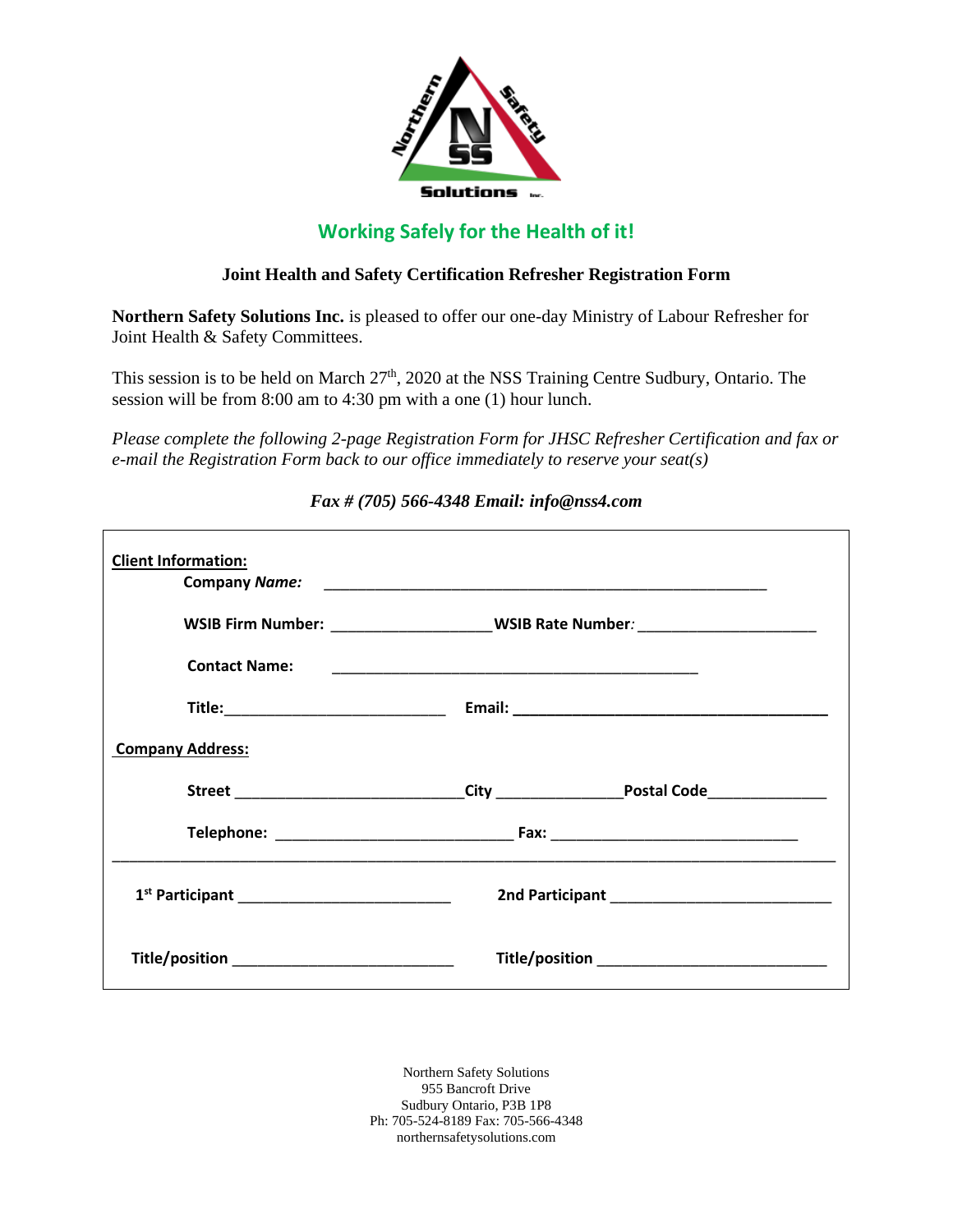

## **Working Safely for the Health of it!**

## **Joint Health and Safety Certification Refresher Registration Form**

**Northern Safety Solutions Inc.** is pleased to offer our one-day Ministry of Labour Refresher for Joint Health & Safety Committees.

This session is to be held on March  $27<sup>th</sup>$ , 2020 at the NSS Training Centre Sudbury, Ontario. The session will be from 8:00 am to 4:30 pm with a one (1) hour lunch.

*Please complete the following 2-page Registration Form for JHSC Refresher Certification and fax or e-mail the Registration Form back to our office immediately to reserve your seat(s)*

| <b>Client Information:</b> |                                                                                  |  |
|----------------------------|----------------------------------------------------------------------------------|--|
|                            | WSIB Firm Number: ______________________WSIB Rate Number: ______________________ |  |
| <b>Contact Name:</b>       |                                                                                  |  |
|                            |                                                                                  |  |
| <b>Company Address:</b>    |                                                                                  |  |
|                            |                                                                                  |  |
|                            |                                                                                  |  |
|                            |                                                                                  |  |
|                            |                                                                                  |  |

*Fax # (705) 566-4348 Email: info@nss4.com*

Northern Safety Solutions 955 Bancroft Drive Sudbury Ontario, P3B 1P8 Ph: 705-524-8189 Fax: 705-566-4348 northernsafetysolutions.com